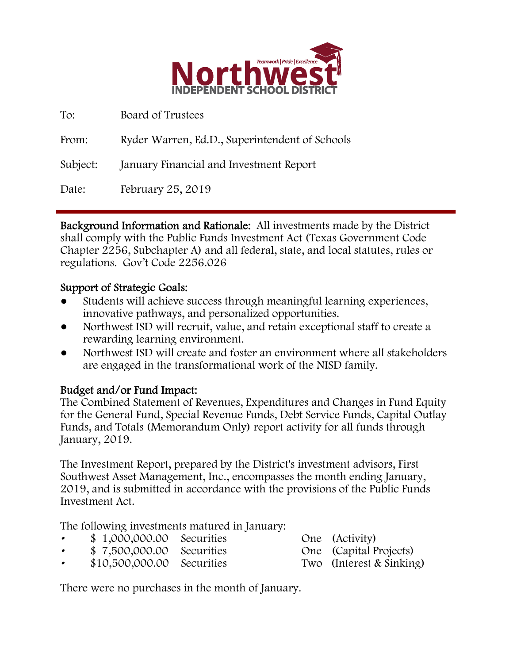

| To:      | Board of Trustees                              |
|----------|------------------------------------------------|
| From:    | Ryder Warren, Ed.D., Superintendent of Schools |
| Subject: | January Financial and Investment Report        |
| Date:    | February 25, 2019                              |

Background Information and Rationale: All investments made by the District shall comply with the Public Funds Investment Act (Texas Government Code Chapter 2256, Subchapter A) and all federal, state, and local statutes, rules or regulations. Gov't Code 2256.026

### Support of Strategic Goals:

- Students will achieve success through meaningful learning experiences, innovative pathways, and personalized opportunities.
- Northwest ISD will recruit, value, and retain exceptional staff to create a rewarding learning environment.
- Northwest ISD will create and foster an environment where all stakeholders are engaged in the transformational work of the NISD family.

### Budget and/or Fund Impact:

The Combined Statement of Revenues, Expenditures and Changes in Fund Equity for the General Fund, Special Revenue Funds, Debt Service Funds, Capital Outlay Funds, and Totals (Memorandum Only) report activity for all funds through January, 2019.

The Investment Report, prepared by the District's investment advisors, First Southwest Asset Management, Inc., encompasses the month ending January, 2019, and is submitted in accordance with the provisions of the Public Funds Investment Act.

The following investments matured in January:

- \$ 1,000,000.00 Securities One (Activity)
- 
- 

• \$ 7,500,000.00 Securities One (Capital Projects) • \$10,500,000.00 Securities Two (Interest & Sinking)

There were no purchases in the month of January.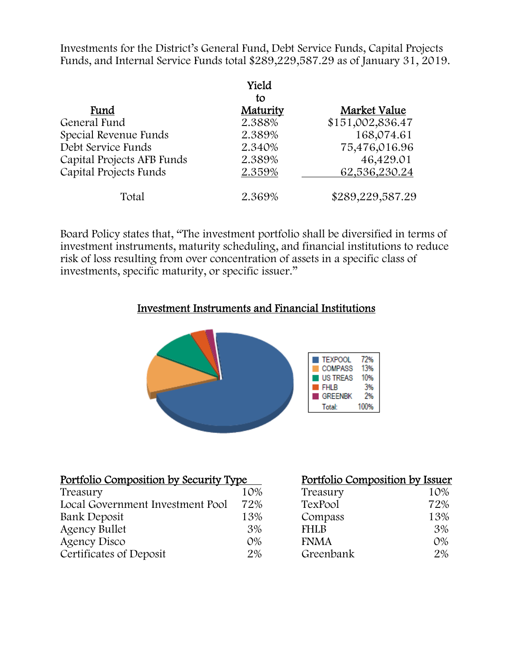Investments for the District's General Fund, Debt Service Funds, Capital Projects Funds, and Internal Service Funds total \$289,229,587.29 as of January 31, 2019.

|                            | Yield    |                  |
|----------------------------|----------|------------------|
|                            | to       |                  |
| Fund                       | Maturity | Market Value     |
| General Fund               | 2.388%   | \$151,002,836.47 |
| Special Revenue Funds      | 2.389%   | 168,074.61       |
| Debt Service Funds         | 2.340%   | 75,476,016.96    |
| Capital Projects AFB Funds | 2.389%   | 46,429.01        |
| Capital Projects Funds     | 2.359%   | 62,536,230.24    |
| Total                      | 2.369%   | \$289,229,587.29 |

Board Policy states that, "The investment portfolio shall be diversified in terms of investment instruments, maturity scheduling, and financial institutions to reduce risk of loss resulting from over concentration of assets in a specific class of investments, specific maturity, or specific issuer."

#### Investment Instruments and Financial Institutions



| <u>Portfolio Composition by Security Type</u> |       | Portfolio Composition by Issuer |       |
|-----------------------------------------------|-------|---------------------------------|-------|
| Treasury                                      | 10%   | Treasury                        | 10%   |
| Local Government Investment Pool              | 72%   | TexPool                         | 72%   |
| Bank Deposit                                  | 13%   | Compass                         | 13%   |
| <b>Agency Bullet</b>                          | 3%    | <b>FHLB</b>                     | 3%    |
| Agency Disco                                  | $O\%$ | <b>FNMA</b>                     | $O\%$ |
| Certificates of Deposit                       | 2%    | Greenbank                       | 2%    |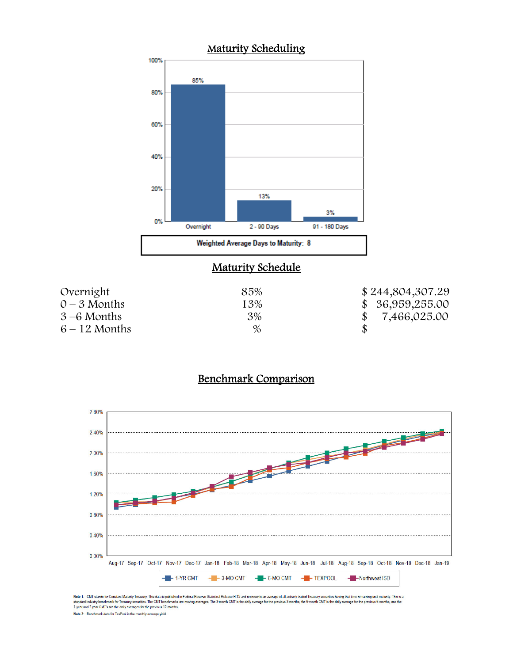

### **Maturity Schedule**

| Overnight       | 85%  | \$244,804,307.29 |
|-----------------|------|------------------|
| $0 - 3$ Months  | 13%  | \$36,959,255.00  |
| $3-6$ Months    | 3%   | 7,466,025.00     |
| $6 - 12$ Months | $\%$ |                  |

# Benchmark Comparison



Note 1: CMT stands for Constant Maturity Treasury. This data is published in Federal Reserve Statistical Release H.15 and represents an average of all actively traded Treasury securities having that time remaining until ma Note 2: Benchmark data for TexPool is the monthly average yield.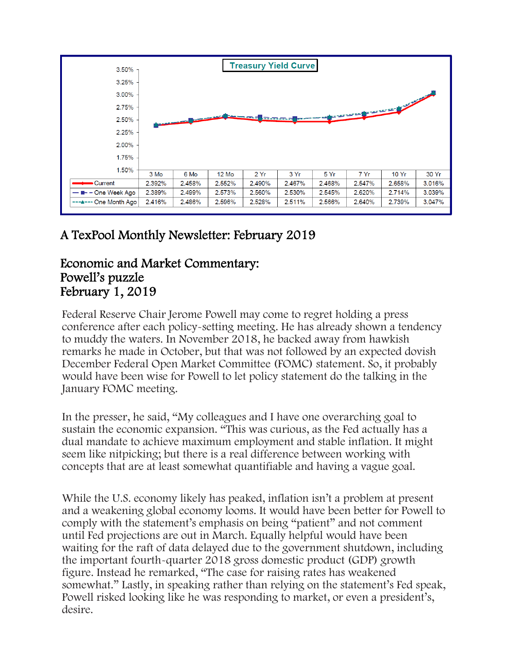

# A TexPool Monthly Newsletter: February 2019

## Economic and Market Commentary: Powell's puzzle February 1, 2019

Federal Reserve Chair Jerome Powell may come to regret holding a press conference after each policy-setting meeting. He has already shown a tendency to muddy the waters. In November 2018, he backed away from hawkish remarks he made in October, but that was not followed by an expected dovish December Federal Open Market Committee (FOMC) statement. So, it probably would have been wise for Powell to let policy statement do the talking in the January FOMC meeting.

In the presser, he said, "My colleagues and I have one overarching goal to sustain the economic expansion. "This was curious, as the Fed actually has a dual mandate to achieve maximum employment and stable inflation. It might seem like nitpicking; but there is a real difference between working with concepts that are at least somewhat quantifiable and having a vague goal.

While the U.S. economy likely has peaked, inflation isn't a problem at present and a weakening global economy looms. It would have been better for Powell to comply with the statement's emphasis on being "patient" and not comment until Fed projections are out in March. Equally helpful would have been waiting for the raft of data delayed due to the government shutdown, including the important fourth-quarter 2018 gross domestic product (GDP) growth figure. Instead he remarked, "The case for raising rates has weakened somewhat." Lastly, in speaking rather than relying on the statement's Fed speak, Powell risked looking like he was responding to market, or even a president's, desire.